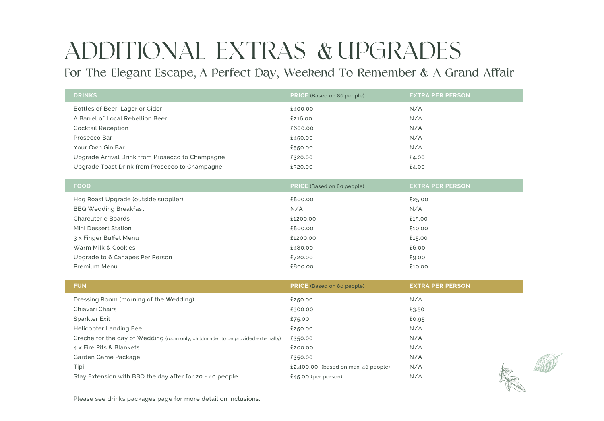## ADDITIONAL EXTRAS & UPGRADES

For The Elegant Escape, A Perfect Day, Weekend To Remember & A Grand Affair

| <b>DRINKS</b>                                                                    | PRICE (Based on 80 people)            | <b>EXTRA PER PERSON</b> |  |
|----------------------------------------------------------------------------------|---------------------------------------|-------------------------|--|
| Bottles of Beer, Lager or Cider                                                  | £400.00                               | N/A                     |  |
| A Barrel of Local Rebellion Beer                                                 | £216.00                               | N/A                     |  |
| <b>Cocktail Reception</b>                                                        | £600.00                               | N/A                     |  |
| Prosecco Bar                                                                     | £450.00                               | N/A                     |  |
| Your Own Gin Bar                                                                 | £550.00                               | N/A                     |  |
| Upgrade Arrival Drink from Prosecco to Champagne                                 | £320.00                               | £4.00                   |  |
| Upgrade Toast Drink from Prosecco to Champagne                                   | £320.00                               | £4.00                   |  |
|                                                                                  |                                       |                         |  |
| <b>FOOD</b>                                                                      | <b>PRICE</b> (Based on 80 people)     | <b>EXTRA PER PERSON</b> |  |
| Hog Roast Upgrade (outside supplier)                                             | £800.00                               | £25.00                  |  |
| <b>BBQ Wedding Breakfast</b>                                                     | N/A                                   | N/A                     |  |
| <b>Charcuterie Boards</b>                                                        | £1200.00                              | £15.00                  |  |
| Mini Dessert Station                                                             | £800.00                               | £10.00                  |  |
| 3 x Finger Buffet Menu                                                           | £1200.00                              | £15.00                  |  |
| Warm Milk & Cookies                                                              | £480.00                               | £6.00                   |  |
| Upgrade to 6 Canapés Per Person                                                  | £720.00                               | £9.00                   |  |
| Premium Menu                                                                     | £800.00                               | £10.00                  |  |
|                                                                                  |                                       |                         |  |
| <b>FUN</b>                                                                       | <b>PRICE</b> (Based on 80 people)     | <b>EXTRA PER PERSON</b> |  |
| Dressing Room (morning of the Wedding)                                           | £250.00                               | N/A                     |  |
| Chiavari Chairs                                                                  | £300.00                               | £3.50                   |  |
| Sparkler Exit                                                                    | £75.00                                | £0.95                   |  |
| <b>Helicopter Landing Fee</b>                                                    | £250.00                               | N/A                     |  |
| Creche for the day of Wedding (room only, childminder to be provided externally) | £350.00                               | N/A                     |  |
| 4 x Fire Pits & Blankets                                                         | £200.00                               | N/A                     |  |
| Garden Game Package                                                              | £350.00                               | N/A                     |  |
| Tipi                                                                             | $£2,400.00$ (based on max. 40 people) | N/A                     |  |

Stay Extension with BBQ the day after for 20 - 40 people £45.00 (per person) N/A



Please see drinks packages page for more detail on inclusions.